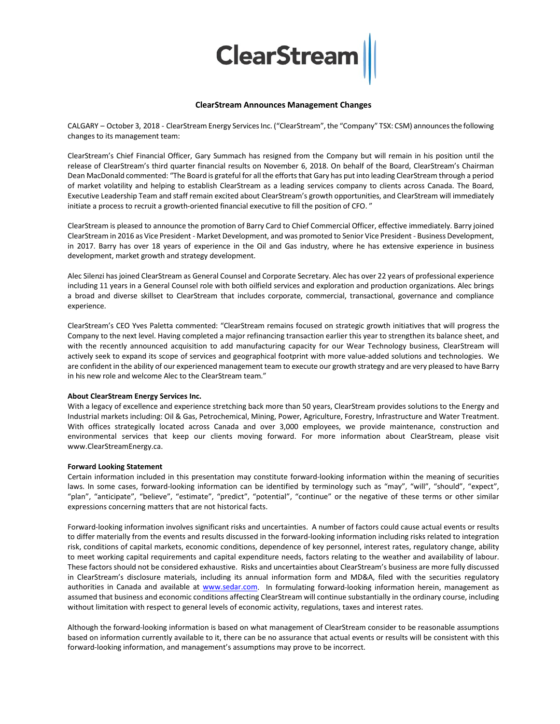

## **ClearStream Announces Management Changes**

CALGARY - October 3, 2018 - ClearStream Energy Services Inc. ("ClearStream", the "Company" TSX: CSM) announces the following changes to its management team:

ClearStream's Chief Financial Officer, Gary Summach has resigned from the Company but will remain in his position until the release of ClearStream's third quarter financial results on November 6, 2018. On behalf of the Board, ClearStream's Chairman Dean MacDonald commented: "The Board is grateful for all the efforts that Gary has put into leading ClearStream through a period of market volatility and helping to establish ClearStream as a leading services company to clients across Canada. The Board, Executive Leadership Team and staff remain excited about ClearStream's growth opportunities, and ClearStream will immediately initiate a process to recruit a growth-oriented financial executive to fill the position of CFO."

ClearStream is pleased to announce the promotion of Barry Card to Chief Commercial Officer, effective immediately. Barry joined ClearStream in 2016 as Vice President - Market Development, and was promoted to Senior Vice President - Business Development, in 2017. Barry has over 18 years of experience in the Oil and Gas industry, where he has extensive experience in business development, market growth and strategy development.

Alec Silenzi has joined ClearStream as General Counsel and Corporate Secretary. Alec has over 22 years of professional experience including 11 years in a General Counsel role with both oilfield services and exploration and production organizations. Alec brings a broad and diverse skillset to ClearStream that includes corporate, commercial, transactional, governance and compliance experience.

ClearStream's CEO Yves Paletta commented: "ClearStream remains focused on strategic growth initiatives that will progress the Company to the next level. Having completed a major refinancing transaction earlier this year to strengthen its balance sheet, and with the recently announced acquisition to add manufacturing capacity for our Wear Technology business, ClearStream will actively seek to expand its scope of services and geographical footprint with more value-added solutions and technologies. We are confident in the ability of our experienced management team to execute our growth strategy and are very pleased to have Barry in his new role and welcome Alec to the ClearStream team."

## **About ClearStream Energy Services Inc.**

With a legacy of excellence and experience stretching back more than 50 years, ClearStream provides solutions to the Energy and Industrial markets including: Oil & Gas, Petrochemical, Mining, Power, Agriculture, Forestry, Infrastructure and Water Treatment. With offices strategically located across Canada and over 3,000 employees, we provide maintenance, construction and environmental services that keep our clients moving forward. For more information about ClearStream, please visit www.ClearStreamEnergy.ca.

## **Forward Looking Statement**

Certain information included in this presentation may constitute forward-looking information within the meaning of securities laws. In some cases, forward-looking information can be identified by terminology such as "may", "will", "should", "expect", "plan", "anticipate", "believe", "estimate", "predict", "potential", "continue" or the negative of these terms or other similar expressions concerning matters that are not historical facts.

Forward-looking information involves significant risks and uncertainties. A number of factors could cause actual events or results to differ materially from the events and results discussed in the forward-looking information including risks related to integration risk, conditions of capital markets, economic conditions, dependence of key personnel, interest rates, regulatory change, ability to meet working capital requirements and capital expenditure needs, factors relating to the weather and availability of labour. These factors should not be considered exhaustive. Risks and uncertainties about ClearStream's business are more fully discussed in ClearStream's disclosure materials, including its annual information form and MD&A, filed with the securities regulatory authorities in Canada and available at [www.sedar.com.](http://www.sedar.com/) In formulating forward-looking information herein, management as assumed that business and economic conditions affecting ClearStream will continue substantially in the ordinary course, including without limitation with respect to general levels of economic activity, regulations, taxes and interest rates.

Although the forward-looking information is based on what management of ClearStream consider to be reasonable assumptions based on information currently available to it, there can be no assurance that actual events or results will be consistent with this forward-looking information, and management's assumptions may prove to be incorrect.